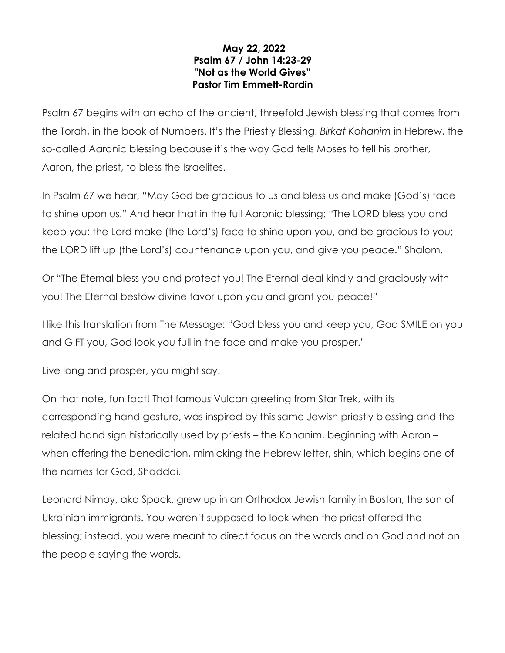## **May 22, 2022 Psalm 67 / John 14:23-29 "Not as the World Gives" Pastor Tim Emmett-Rardin**

Psalm 67 begins with an echo of the ancient, threefold Jewish blessing that comes from the Torah, in the book of Numbers. It's the Priestly Blessing, *Birkat Kohanim* in Hebrew, the so-called Aaronic blessing because it's the way God tells Moses to tell his brother, Aaron, the priest, to bless the Israelites.

In Psalm 67 we hear, "May God be gracious to us and bless us and make (God's) face to shine upon us." And hear that in the full Aaronic blessing: "The LORD bless you and keep you; the Lord make (the Lord's) face to shine upon you, and be gracious to you; the LORD lift up (the Lord's) countenance upon you, and give you peace." Shalom.

Or "The Eternal bless you and protect you! The Eternal deal kindly and graciously with you! The Eternal bestow divine favor upon you and grant you peace!"

I like this translation from The Message: "God bless you and keep you, God SMILE on you and GIFT you, God look you full in the face and make you prosper."

Live long and prosper, you might say.

On that note, fun fact! That famous Vulcan greeting from Star Trek, with its corresponding hand gesture, was inspired by this same Jewish priestly blessing and the related hand sign historically used by priests – the Kohanim, beginning with Aaron – when offering the benediction, mimicking the Hebrew letter, shin, which begins one of the names for God, Shaddai.

Leonard Nimoy, aka Spock, grew up in an Orthodox Jewish family in Boston, the son of Ukrainian immigrants. You weren't supposed to look when the priest offered the blessing; instead, you were meant to direct focus on the words and on God and not on the people saying the words.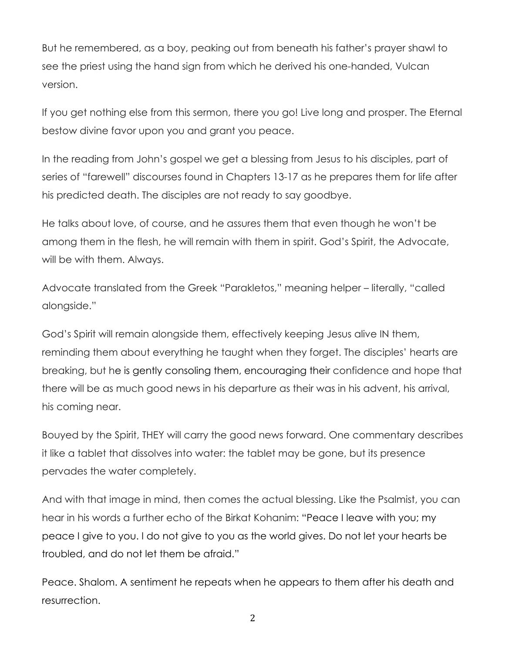But he remembered, as a boy, peaking out from beneath his father's prayer shawl to see the priest using the hand sign from which he derived his one-handed, Vulcan version.

If you get nothing else from this sermon, there you go! Live long and prosper. The Eternal bestow divine favor upon you and grant you peace.

In the reading from John's gospel we get a blessing from Jesus to his disciples, part of series of "farewell" discourses found in Chapters 13-17 as he prepares them for life after his predicted death. The disciples are not ready to say goodbye.

He talks about love, of course, and he assures them that even though he won't be among them in the flesh, he will remain with them in spirit. God's Spirit, the Advocate, will be with them. Always.

Advocate translated from the Greek "Parakletos," meaning helper – literally, "called alongside."

God's Spirit will remain alongside them, effectively keeping Jesus alive IN them, reminding them about everything he taught when they forget. The disciples' hearts are breaking, but he is gently consoling them, encouraging their confidence and hope that there will be as much good news in his departure as their was in his advent, his arrival, his coming near.

Bouyed by the Spirit, THEY will carry the good news forward. One commentary describes it like a tablet that dissolves into water: the tablet may be gone, but its presence pervades the water completely.

And with that image in mind, then comes the actual blessing. Like the Psalmist, you can hear in his words a further echo of the Birkat Kohanim: "Peace I leave with you; my peace I give to you. I do not give to you as the world gives. Do not let your hearts be troubled, and do not let them be afraid."

Peace. Shalom. A sentiment he repeats when he appears to them after his death and resurrection.

2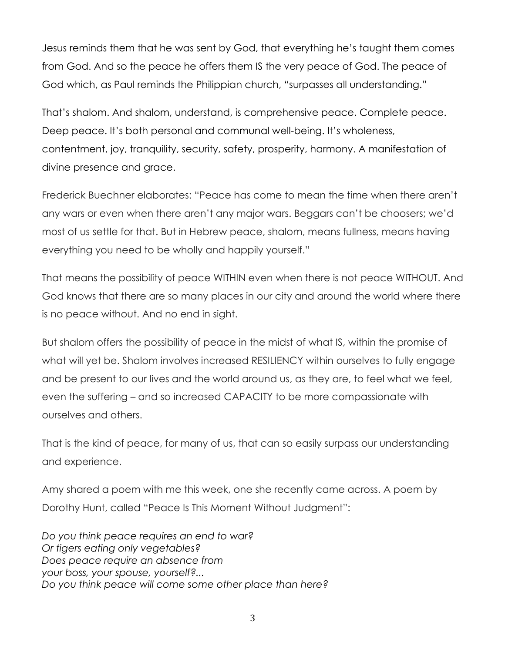Jesus reminds them that he was sent by God, that everything he's taught them comes from God. And so the peace he offers them IS the very peace of God. The peace of God which, as Paul reminds the Philippian church, "surpasses all understanding."

That's shalom. And shalom, understand, is comprehensive peace. Complete peace. Deep peace. It's both personal and communal well-being. It's wholeness, contentment, joy, tranquility, security, safety, prosperity, harmony. A manifestation of divine presence and grace.

Frederick Buechner elaborates: "Peace has come to mean the time when there aren't any wars or even when there aren't any major wars. Beggars can't be choosers; we'd most of us settle for that. But in Hebrew peace, shalom, means fullness, means having everything you need to be wholly and happily yourself."

That means the possibility of peace WITHIN even when there is not peace WITHOUT. And God knows that there are so many places in our city and around the world where there is no peace without. And no end in sight.

But shalom offers the possibility of peace in the midst of what IS, within the promise of what will yet be. Shalom involves increased RESILIENCY within ourselves to fully engage and be present to our lives and the world around us, as they are, to feel what we feel, even the suffering – and so increased CAPACITY to be more compassionate with ourselves and others.

That is the kind of peace, for many of us, that can so easily surpass our understanding and experience.

Amy shared a poem with me this week, one she recently came across. A poem by Dorothy Hunt, called "Peace Is This Moment Without Judgment":

*Do you think peace requires an end to war? Or tigers eating only vegetables? Does peace require an absence from your boss, your spouse, yourself?... Do you think peace will come some other place than here?*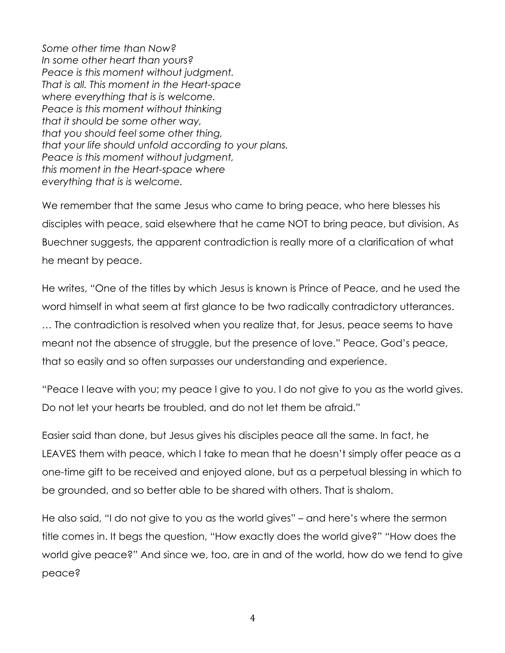*Some other time than Now? In some other heart than yours? Peace is this moment without judgment. That is all. This moment in the Heart-space where everything that is is welcome. Peace is this moment without thinking that it should be some other way, that you should feel some other thing, that your life should unfold according to your plans. Peace is this moment without judgment, this moment in the Heart-space where everything that is is welcome.*

We remember that the same Jesus who came to bring peace, who here blesses his disciples with peace, said elsewhere that he came NOT to bring peace, but division. As Buechner suggests, the apparent contradiction is really more of a clarification of what he meant by peace.

He writes, "One of the titles by which Jesus is known is Prince of Peace, and he used the word himself in what seem at first glance to be two radically contradictory utterances.

… The contradiction is resolved when you realize that, for Jesus, peace seems to have meant not the absence of struggle, but the presence of love." Peace, God's peace, that so easily and so often surpasses our understanding and experience.

"Peace I leave with you; my peace I give to you. I do not give to you as the world gives. Do not let your hearts be troubled, and do not let them be afraid."

Easier said than done, but Jesus gives his disciples peace all the same. In fact, he LEAVES them with peace, which I take to mean that he doesn't simply offer peace as a one-time gift to be received and enjoyed alone, but as a perpetual blessing in which to be grounded, and so better able to be shared with others. That is shalom.

He also said, "I do not give to you as the world gives" – and here's where the sermon title comes in. It begs the question, "How exactly does the world give?" "How does the world give peace?" And since we, too, are in and of the world, how do we tend to give peace?

4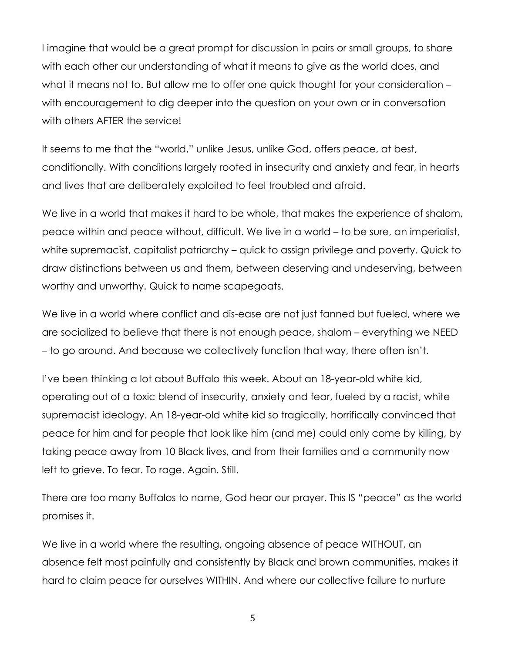I imagine that would be a great prompt for discussion in pairs or small groups, to share with each other our understanding of what it means to give as the world does, and what it means not to. But allow me to offer one quick thought for your consideration – with encouragement to dig deeper into the question on your own or in conversation with others AFTER the service!

It seems to me that the "world," unlike Jesus, unlike God, offers peace, at best, conditionally. With conditions largely rooted in insecurity and anxiety and fear, in hearts and lives that are deliberately exploited to feel troubled and afraid.

We live in a world that makes it hard to be whole, that makes the experience of shalom, peace within and peace without, difficult. We live in a world – to be sure, an imperialist, white supremacist, capitalist patriarchy – quick to assign privilege and poverty. Quick to draw distinctions between us and them, between deserving and undeserving, between worthy and unworthy. Quick to name scapegoats.

We live in a world where conflict and dis-ease are not just fanned but fueled, where we are socialized to believe that there is not enough peace, shalom – everything we NEED – to go around. And because we collectively function that way, there often isn't.

I've been thinking a lot about Buffalo this week. About an 18-year-old white kid, operating out of a toxic blend of insecurity, anxiety and fear, fueled by a racist, white supremacist ideology. An 18-year-old white kid so tragically, horrifically convinced that peace for him and for people that look like him (and me) could only come by killing, by taking peace away from 10 Black lives, and from their families and a community now left to grieve. To fear. To rage. Again. Still.

There are too many Buffalos to name, God hear our prayer. This IS "peace" as the world promises it.

We live in a world where the resulting, ongoing absence of peace WITHOUT, an absence felt most painfully and consistently by Black and brown communities, makes it hard to claim peace for ourselves WITHIN. And where our collective failure to nurture

5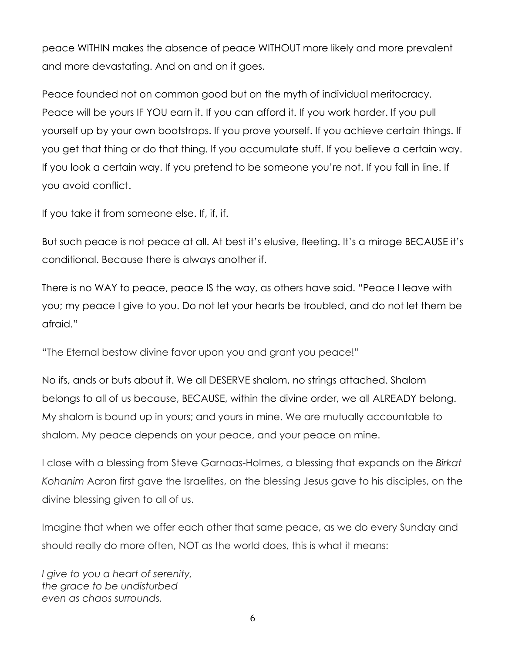peace WITHIN makes the absence of peace WITHOUT more likely and more prevalent and more devastating. And on and on it goes.

Peace founded not on common good but on the myth of individual meritocracy. Peace will be yours IF YOU earn it. If you can afford it. If you work harder. If you pull yourself up by your own bootstraps. If you prove yourself. If you achieve certain things. If you get that thing or do that thing. If you accumulate stuff. If you believe a certain way. If you look a certain way. If you pretend to be someone you're not. If you fall in line. If you avoid conflict.

If you take it from someone else. If, if, if.

But such peace is not peace at all. At best it's elusive, fleeting. It's a mirage BECAUSE it's conditional. Because there is always another if.

There is no WAY to peace, peace IS the way, as others have said. "Peace I leave with you; my peace I give to you. Do not let your hearts be troubled, and do not let them be afraid."

"The Eternal bestow divine favor upon you and grant you peace!"

No ifs, ands or buts about it. We all DESERVE shalom, no strings attached. Shalom belongs to all of us because, BECAUSE, within the divine order, we all ALREADY belong. My shalom is bound up in yours; and yours in mine. We are mutually accountable to shalom. My peace depends on your peace, and your peace on mine.

I close with a blessing from Steve Garnaas-Holmes, a blessing that expands on the *Birkat Kohanim* Aaron first gave the Israelites, on the blessing Jesus gave to his disciples, on the divine blessing given to all of us.

Imagine that when we offer each other that same peace, as we do every Sunday and should really do more often, NOT as the world does, this is what it means:

*I give to you a heart of serenity, the grace to be undisturbed even as chaos surrounds.*